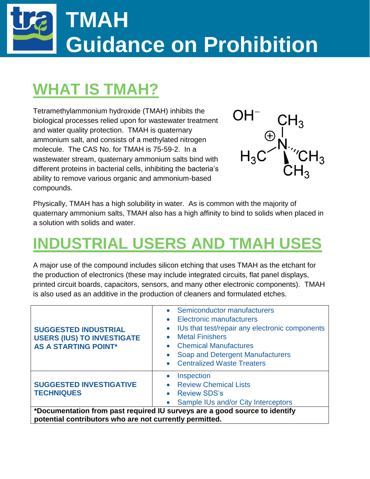# **TMAH Guidance on Prohibition**

### **WHAT IS TMAH?**

Tetramethylammonium hydroxide (TMAH) inhibits the biological processes relied upon for wastewater treatment and water quality protection. TMAH is quaternary ammonium salt, and consists of a methylated nitrogen molecule. The CAS No. for TMAH is 75-59-2. In a wastewater stream, quaternary ammonium salts bind with different proteins in bacterial cells, inhibiting the bacteria's ability to remove various organic and ammonium-based compounds.



Physically, TMAH has a high solubility in water. As is common with the majority of quaternary ammonium salts, TMAH also has a high affinity to bind to solids when placed in a solution with solids and water.

### **INDUSTRIAL USERS AND TMAH USES**

A major use of the compound includes silicon etching that uses TMAH as the etchant for the production of electronics (these may include integrated circuits, flat panel displays, printed circuit boards, capacitors, sensors, and many other electronic components). TMAH is also used as an additive in the production of cleaners and formulated etches.

| <b>SUGGESTED INDUSTRIAL</b><br><b>USERS (IUS) TO INVESTIGATE</b><br><b>AS A STARTING POINT*</b> | Semiconductor manufacturers<br>Electronic manufacturers<br>$\bullet$<br>IUs that test/repair any electronic components<br>$\bullet$<br><b>Metal Finishers</b><br><b>Chemical Manufactures</b><br>$\bullet$<br>Soap and Detergent Manufacturers<br><b>Centralized Waste Treaters</b><br>$\bullet$ |  |  |  |
|-------------------------------------------------------------------------------------------------|--------------------------------------------------------------------------------------------------------------------------------------------------------------------------------------------------------------------------------------------------------------------------------------------------|--|--|--|
| <b>SUGGESTED INVESTIGATIVE</b><br><b>TECHNIQUES</b>                                             | Inspection<br>$\bullet$<br><b>Review Chemical Lists</b><br><b>Review SDS's</b><br>$\bullet$<br>Sample IUs and/or City Interceptors<br>$\bullet$                                                                                                                                                  |  |  |  |
| *Documentation from past required IU surveys are a good source to identify                      |                                                                                                                                                                                                                                                                                                  |  |  |  |

**potential contributors who are not currently permitted.**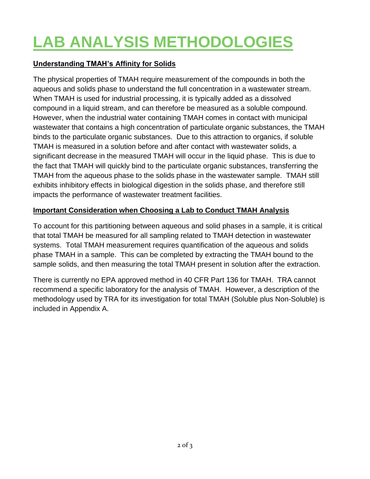## **LAB ANALYSIS METHODOLOGIES**

#### **Understanding TMAH's Affinity for Solids**

The physical properties of TMAH require measurement of the compounds in both the aqueous and solids phase to understand the full concentration in a wastewater stream. When TMAH is used for industrial processing, it is typically added as a dissolved compound in a liquid stream, and can therefore be measured as a soluble compound. However, when the industrial water containing TMAH comes in contact with municipal wastewater that contains a high concentration of particulate organic substances, the TMAH binds to the particulate organic substances. Due to this attraction to organics, if soluble TMAH is measured in a solution before and after contact with wastewater solids, a significant decrease in the measured TMAH will occur in the liquid phase. This is due to the fact that TMAH will quickly bind to the particulate organic substances, transferring the TMAH from the aqueous phase to the solids phase in the wastewater sample. TMAH still exhibits inhibitory effects in biological digestion in the solids phase, and therefore still impacts the performance of wastewater treatment facilities.

#### **Important Consideration when Choosing a Lab to Conduct TMAH Analysis**

To account for this partitioning between aqueous and solid phases in a sample, it is critical that total TMAH be measured for all sampling related to TMAH detection in wastewater systems. Total TMAH measurement requires quantification of the aqueous and solids phase TMAH in a sample. This can be completed by extracting the TMAH bound to the sample solids, and then measuring the total TMAH present in solution after the extraction.

There is currently no EPA approved method in 40 CFR Part 136 for TMAH. TRA cannot recommend a specific laboratory for the analysis of TMAH. However, a description of the methodology used by TRA for its investigation for total TMAH (Soluble plus Non-Soluble) is included in Appendix A.